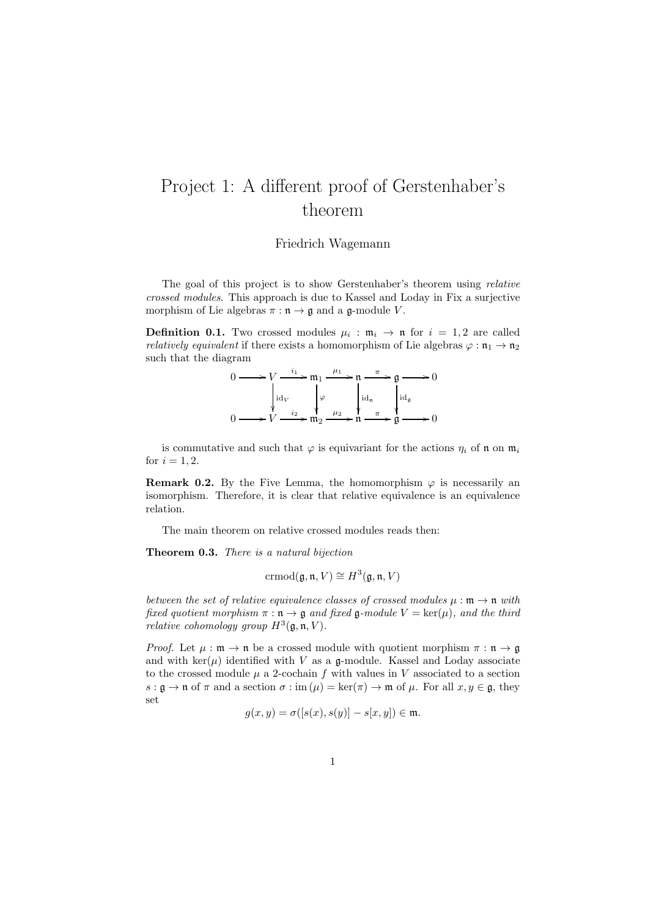## Project 1: A different proof of Gerstenhaber's theorem

## Friedrich Wagemann

The goal of this project is to show Gerstenhaber's theorem using relative crossed modules. This approach is due to Kassel and Loday in Fix a surjective morphism of Lie algebras  $\pi : \mathfrak{n} \to \mathfrak{g}$  and a  $\mathfrak{g}\text{-module } V$ .

**Definition 0.1.** Two crossed modules  $\mu_i : \mathfrak{m}_i \to \mathfrak{n}$  for  $i = 1, 2$  are called *relatively equivalent* if there exists a homomorphism of Lie algebras  $\varphi : \mathfrak{n}_1 \to \mathfrak{n}_2$ such that the diagram

| $\longmapsto V \xrightarrow{i_1} \mathfrak{m}_1 \xrightarrow{\mu_1} \mathfrak{n} \xrightarrow{\pi} \mathfrak{g} \longrightarrow 0$                                                                   |  |  |  |
|------------------------------------------------------------------------------------------------------------------------------------------------------------------------------------------------------|--|--|--|
|                                                                                                                                                                                                      |  |  |  |
| $\begin{cases} \operatorname{id}_V & \downarrow \varphi \\ \to V & \xrightarrow{i_2} \mathfrak{m}_2 \xrightarrow{\mu_2} \mathfrak{n} & \xrightarrow{\pi} \mathfrak{g} \longrightarrow 0 \end{cases}$ |  |  |  |

is commutative and such that  $\varphi$  is equivariant for the actions  $\eta_i$  of  $\mathfrak n$  on  $\mathfrak m_i$ for  $i = 1, 2$ .

**Remark 0.2.** By the Five Lemma, the homomorphism  $\varphi$  is necessarily an isomorphism. Therefore, it is clear that relative equivalence is an equivalence relation.

The main theorem on relative crossed modules reads then:

Theorem 0.3. There is a natural bijection

$$
ermod(\mathfrak{g}, \mathfrak{n}, V) \cong H^3(\mathfrak{g}, \mathfrak{n}, V)
$$

between the set of relative equivalence classes of crossed modules  $\mu : \mathfrak{m} \to \mathfrak{n}$  with fixed quotient morphism  $\pi : \mathfrak{n} \to \mathfrak{g}$  and fixed  $\mathfrak{g}\text{-module } V = \text{ker}(\mu)$ , and the third relative cohomology group  $H^3(\mathfrak{g}, \mathfrak{n}, V)$ .

*Proof.* Let  $\mu : \mathfrak{m} \to \mathfrak{n}$  be a crossed module with quotient morphism  $\pi : \mathfrak{n} \to \mathfrak{g}$ and with  $\ker(\mu)$  identified with V as a g-module. Kassel and Loday associate to the crossed module  $\mu$  a 2-cochain f with values in V associated to a section  $s : \mathfrak{g} \to \mathfrak{n}$  of  $\pi$  and a section  $\sigma : \text{im}(\mu) = \text{ker}(\pi) \to \mathfrak{m}$  of  $\mu$ . For all  $x, y \in \mathfrak{g}$ , they set  $\zeta$  and  $\zeta$  is the original  $\zeta$  of the mass  $\zeta$ 

$$
g(x,y)=\sigma([s(x),s(y)]-s[x,y])\in\mathfrak{m}.
$$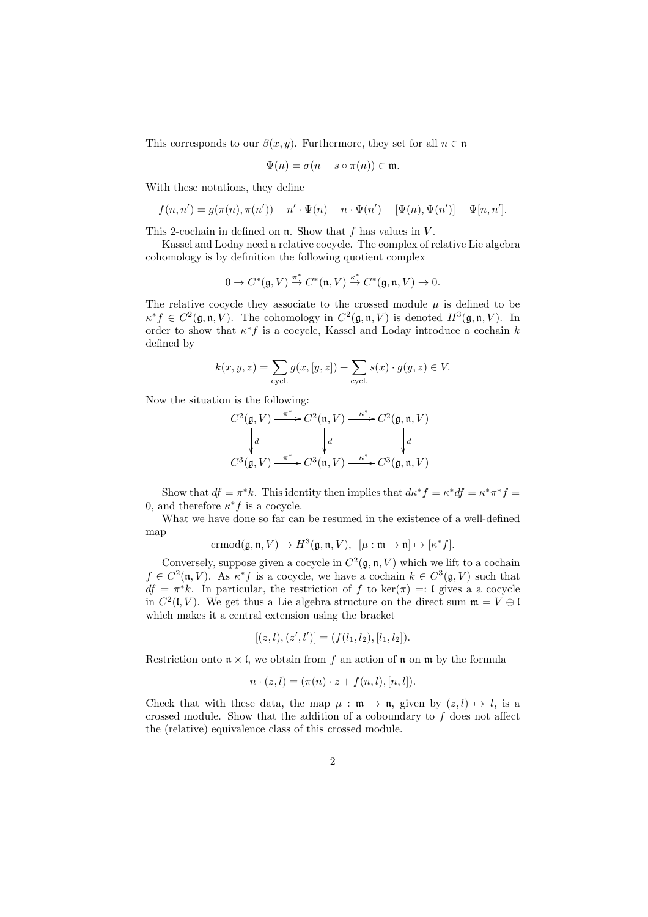This corresponds to our  $\beta(x, y)$ . Furthermore, they set for all  $n \in \mathfrak{n}$ 

$$
\Psi(n) = \sigma(n - s \circ \pi(n)) \in \mathfrak{m}.
$$

With these notations, they define

$$
f(n, n') = g(\pi(n), \pi(n')) - n' \cdot \Psi(n) + n \cdot \Psi(n') - [\Psi(n), \Psi(n')] - \Psi[n, n'].
$$

This 2-cochain in defined on  $\mathfrak n$ . Show that f has values in V.

Kassel and Loday need a relative cocycle. The complex of relative Lie algebra cohomology is by definition the following quotient complex

$$
0 \to C^*(\mathfrak{g}, V) \stackrel{\pi^*}{\to} C^*(\mathfrak{n}, V) \stackrel{\kappa^*}{\to} C^*(\mathfrak{g}, \mathfrak{n}, V) \to 0.
$$

The relative cocycle they associate to the crossed module  $\mu$  is defined to be  $\kappa^* f \in C^2(\mathfrak{g}, \mathfrak{n}, V)$ . The cohomology in  $C^2(\mathfrak{g}, \mathfrak{n}, V)$  is denoted  $H^3(\mathfrak{g}, \mathfrak{n}, V)$ . In order to show that  $\kappa^* f$  is a cocycle, Kassel and Loday introduce a cochain k defined by

$$
k(x,y,z) = \sum_{\text{cycl.}} g(x,[y,z]) + \sum_{\text{cycl.}} s(x) \cdot g(y,z) \in V.
$$

Now the situation is the following:

$$
C^2(\mathfrak{g}, V) \xrightarrow{\pi^*} C^2(\mathfrak{n}, V) \xrightarrow{\kappa^*} C^2(\mathfrak{g}, \mathfrak{n}, V)
$$

$$
\downarrow d \qquad \qquad \downarrow d \qquad \qquad \downarrow d
$$

$$
C^3(\mathfrak{g}, V) \xrightarrow{\pi^*} C^3(\mathfrak{n}, V) \xrightarrow{\kappa^*} C^3(\mathfrak{g}, \mathfrak{n}, V)
$$

Show that  $df = \pi^*k$ . This identity then implies that  $d\kappa^* f = \kappa^* df = \kappa^* \pi^* f =$ 0, and therefore  $\kappa^* f$  is a cocycle.

What we have done so far can be resumed in the existence of a well-defined map

$$
\mathrm{crmod}(\mathfrak{g},\mathfrak{n},V)\rightarrow H^3(\mathfrak{g},\mathfrak{n},V),\ \ [\mu:\mathfrak{m}\rightarrow\mathfrak{n}]\mapsto[\kappa^*f].
$$

Conversely, suppose given a cocycle in  $C^2(\mathfrak{g}, \mathfrak{n}, V)$  which we lift to a cochain  $f \in C^2(\mathfrak{n}, V)$ . As  $\kappa^* f$  is a cocycle, we have a cochain  $k \in C^3(\mathfrak{g}, V)$  such that  $df = \pi^*k$ . In particular, the restriction of f to ker( $\pi$ ) =: I gives a a cocycle in  $C^2(\mathfrak{l}, V)$ . We get thus a Lie algebra structure on the direct sum  $\mathfrak{m} = V \oplus \mathfrak{l}$ which makes it a central extension using the bracket

$$
[(z, l), (z', l')] = (f(l_1, l_2), [l_1, l_2]).
$$

Restriction onto  $\mathfrak{n} \times \mathfrak{l}$ , we obtain from f an action of  $\mathfrak{n}$  on  $\mathfrak{m}$  by the formula

$$
n \cdot (z, l) = (\pi(n) \cdot z + f(n, l), [n, l]).
$$

Check that with these data, the map  $\mu : \mathfrak{m} \to \mathfrak{n}$ , given by  $(z, l) \mapsto l$ , is a crossed module. Show that the addition of a coboundary to  $f$  does not affect the (relative) equivalence class of this crossed module.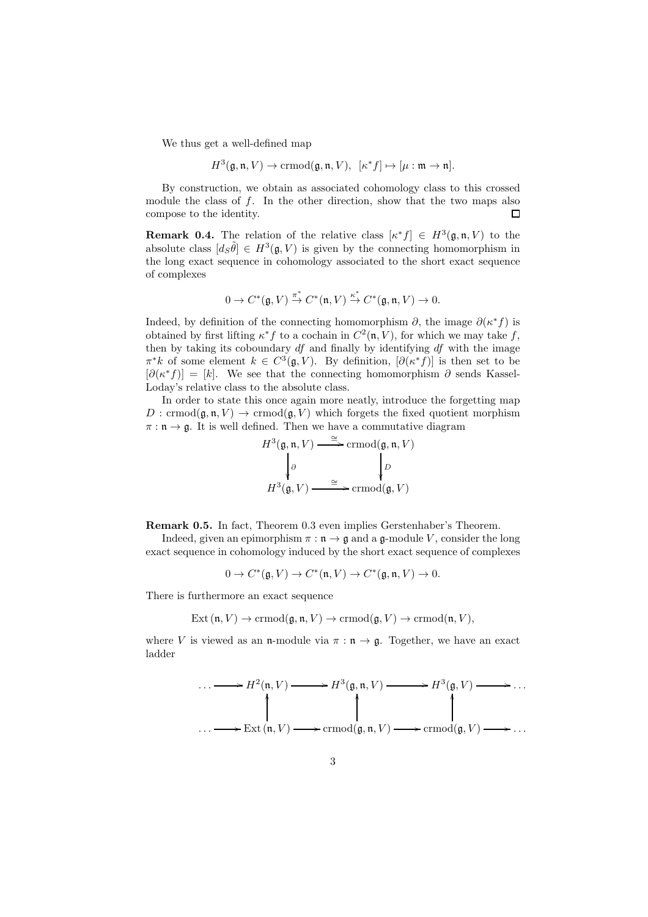We thus get a well-defined map

$$
H^{3}(\mathfrak{g},\mathfrak{n},V) \to \text{crmod}(\mathfrak{g},\mathfrak{n},V), \ \ [\kappa^*f] \mapsto [\mu:\mathfrak{m} \to \mathfrak{n}].
$$

By construction, we obtain as associated cohomology class to this crossed module the class of f. In the other direction, show that the two maps also compose to the identity.  $\Box$ 

**Remark 0.4.** The relation of the relative class  $[\kappa^* f] \in H^3(\mathfrak{g}, \mathfrak{n}, V)$  to the absolute class  $[d_S\tilde{\theta}] \in H^3(\mathfrak{g}, V)$  is given by the connecting homomorphism in the long exact sequence in cohomology associated to the short exact sequence of complexes

$$
0 \to C^*(\mathfrak{g},V) \stackrel{\pi^*}{\to} C^*(\mathfrak{n},V) \stackrel{\kappa^*}{\to} C^*(\mathfrak{g},\mathfrak{n},V) \to 0.
$$

Indeed, by definition of the connecting homomorphism  $\partial$ , the image  $\partial(\kappa^* f)$  is obtained by first lifting  $\kappa^* f$  to a cochain in  $C^2(\mathfrak{n}, V)$ , for which we may take f, then by taking its coboundary  $df$  and finally by identifying  $df$  with the image  $\pi^*k$  of some element  $k \in C^3(\mathfrak{g}, V)$ . By definition,  $[\partial(\kappa^*f)]$  is then set to be  $[\partial(\kappa^*f)] = [k]$ . We see that the connecting homomorphism  $\partial$  sends Kassel-Loday's relative class to the absolute class.

In order to state this once again more neatly, introduce the forgetting map  $D: \text{crmod}(\mathfrak{g}, \mathfrak{n}, V) \to \text{crmod}(\mathfrak{g}, V)$  which forgets the fixed quotient morphism  $\pi : \mathfrak{n} \to \mathfrak{g}$ . It is well defined. Then we have a commutative diagram

$$
H^{3}(\mathfrak{g}, \mathfrak{n}, V) \xrightarrow{\cong} \text{crmod}(\mathfrak{g}, \mathfrak{n}, V)
$$

$$
\downarrow \partial
$$

$$
H^{3}(\mathfrak{g}, V) \xrightarrow{\cong} \text{crmod}(\mathfrak{g}, V)
$$

Remark 0.5. In fact, Theorem 0.3 even implies Gerstenhaber's Theorem.

Indeed, given an epimorphism  $\pi : \mathfrak{n} \to \mathfrak{g}$  and a  $\mathfrak{g}\text{-module } V$ , consider the long exact sequence in cohomology induced by the short exact sequence of complexes

 $0 \to C^*(\mathfrak{g}, V) \to C^*(\mathfrak{n}, V) \to C^*(\mathfrak{g}, \mathfrak{n}, V) \to 0.$ 

There is furthermore an exact sequence

$$
Ext(\mathfrak{n}, V) \to \text{crmod}(\mathfrak{g}, \mathfrak{n}, V) \to \text{crmod}(\mathfrak{g}, V) \to \text{crmod}(\mathfrak{n}, V),
$$

where V is viewed as an n-module via  $\pi : \mathfrak{n} \to \mathfrak{g}$ . Together, we have an exact ladder